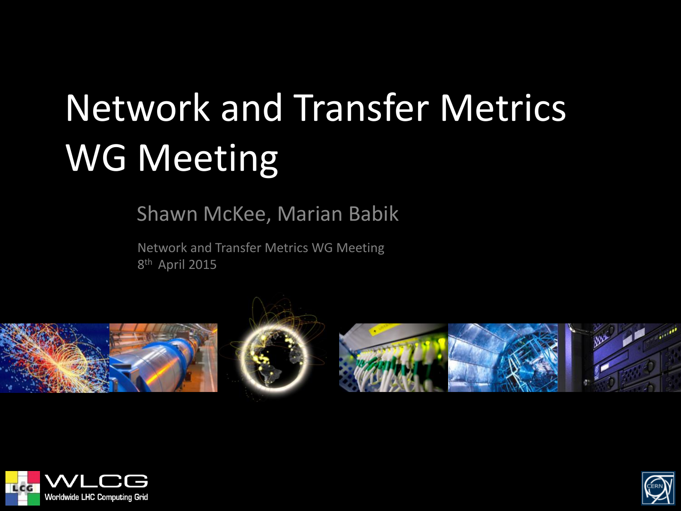# Network and Transfer Metrics WG Meeting

Shawn McKee, Marian Babik

Network and Transfer Metrics WG Meeting 8<sup>th</sup> April 2015









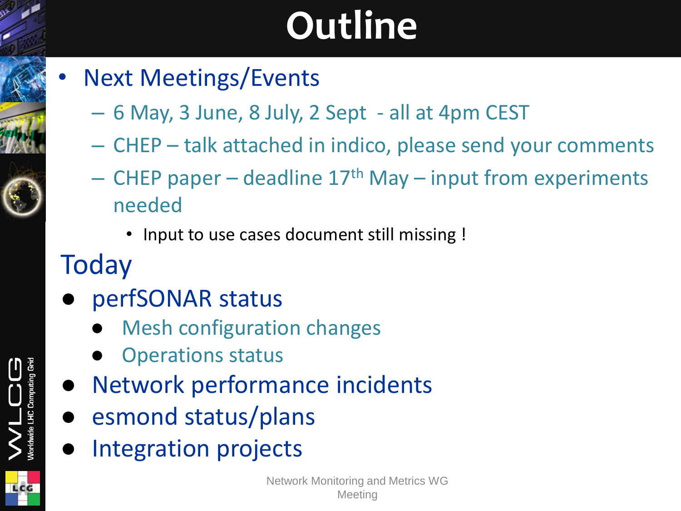## **Outline**

- **Next Meetings/Events** 
	- 6 May, 3 June, 8 July, 2 Sept all at 4pm CEST
	- CHEP talk attached in indico, please send your comments
	- CHEP paper deadline  $17<sup>th</sup>$  May input from experiments needed
		- Input to use cases document still missing !
- **Today**
- perfSONAR status
	- **Mesh configuration changes**
	- **Operations status**
- Network performance incidents
- esmond status/plans
- Integration projects

LCG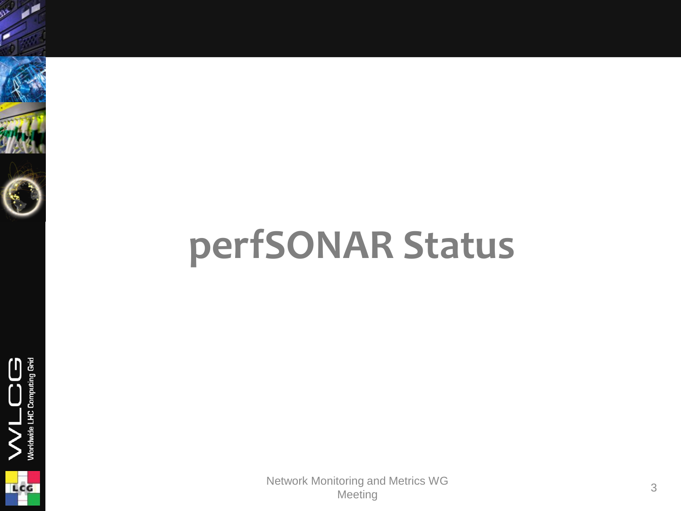### **perfSONAR Status**

Grid

V<br>Worldwide LHC Comp

**LCG**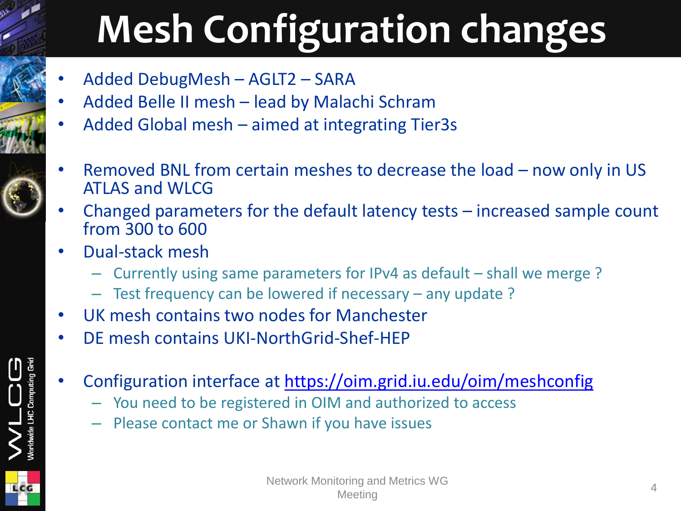# **Mesh Configuration changes**

- Added DebugMesh AGLT2 SARA
- Added Belle II mesh lead by Malachi Schram
- Added Global mesh aimed at integrating Tier3s
- Removed BNL from certain meshes to decrease the load now only in US ATLAS and WLCG
- Changed parameters for the default latency tests  $-$  increased sample count from 300 to 600
- Dual-stack mesh

LCG

- Currently using same parameters for IPv4 as default shall we merge ?
- Test frequency can be lowered if necessary any update ?
- UK mesh contains two nodes for Manchester
	- DE mesh contains UKI-NorthGrid-Shef-HEP
	- Configuration interface at <https://oim.grid.iu.edu/oim/meshconfig>
		- You need to be registered in OIM and authorized to access
		- Please contact me or Shawn if you have issues

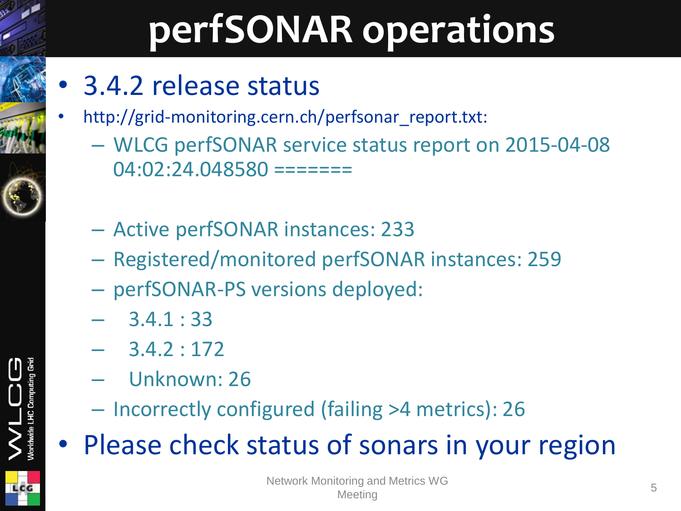### **perfSONAR operations**

- 3.4.2 release status
- http://grid-monitoring.cern.ch/perfsonar\_report.txt:
	- WLCG perfSONAR service status report on 2015-04-08  $04:02:24.048580 == == == ==$
	- Active perfSONAR instances: 233
	- Registered/monitored perfSONAR instances: 259
	- perfSONAR-PS versions deployed:
	- 3.4.1 : 33
	- 3.4.2 : 172
	- Unknown: 26
	- Incorrectly configured (failing >4 metrics): 26
- Please check status of sonars in your region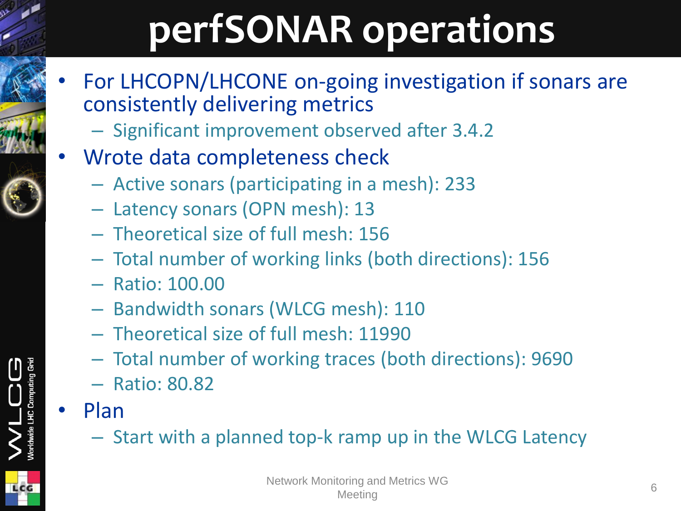## **perfSONAR operations**

- For LHCOPN/LHCONE on-going investigation if sonars are consistently delivering metrics
	- Significant improvement observed after 3.4.2
- Wrote data completeness check
	- Active sonars (participating in a mesh): 233
	- Latency sonars (OPN mesh): 13
	- Theoretical size of full mesh: 156
	- Total number of working links (both directions): 156
	- Ratio: 100.00
	- Bandwidth sonars (WLCG mesh): 110
	- Theoretical size of full mesh: 11990
	- Total number of working traces (both directions): 9690
	- Ratio: 80.82
- Plan

LHC Com

– Start with a planned top-k ramp up in the WLCG Latency

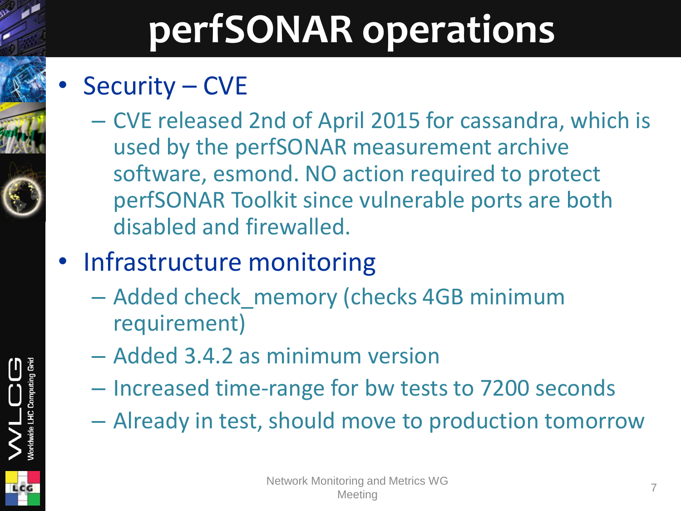### **perfSONAR operations**

### Security – CVE

– CVE released 2nd of April 2015 for cassandra, which is used by the perfSONAR measurement archive software, esmond. NO action required to protect perfSONAR Toolkit since vulnerable ports are both disabled and firewalled.

### • Infrastructure monitoring

- Added check\_memory (checks 4GB minimum requirement)
- Added 3.4.2 as minimum version
- Increased time-range for bw tests to 7200 seconds
- Already in test, should move to production tomorrow



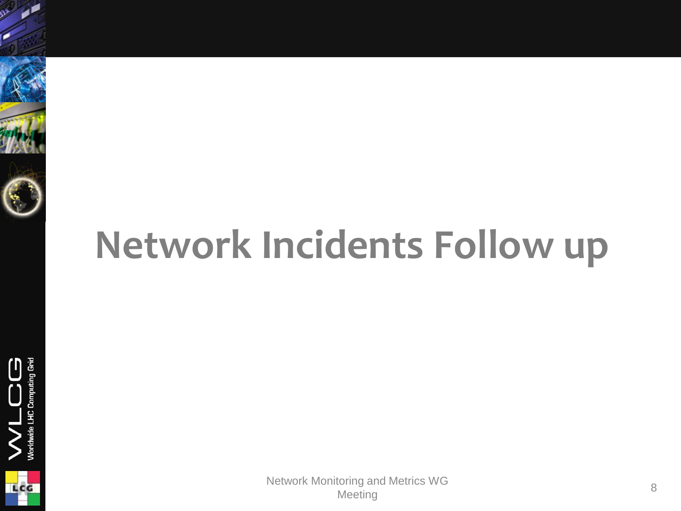

### **Network Incidents Follow up**



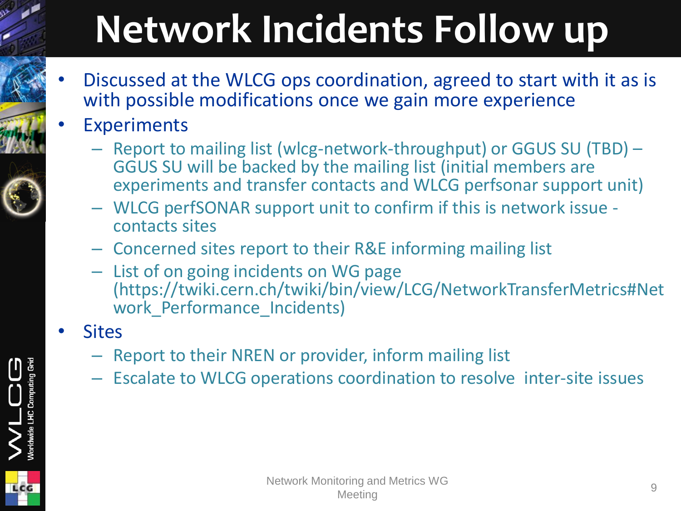# **Network Incidents Follow up**

- Discussed at the WLCG ops coordination, agreed to start with it as is with possible modifications once we gain more experience
- **Experiments** 
	- Report to mailing list (wlcg-network-throughput) or GGUS SU (TBD) GGUS SU will be backed by the mailing list (initial members are experiments and transfer contacts and WLCG perfsonar support unit)
	- WLCG perfSONAR support unit to confirm if this is network issue contacts sites
	- Concerned sites report to their R&E informing mailing list
	- List of on going incidents on WG page (https://twiki.cern.ch/twiki/bin/view/LCG/NetworkTransferMetrics#Net work Performance Incidents)
- **Sites** 
	- Report to their NREN or provider, inform mailing list
	- Escalate to WLCG operations coordination to resolve inter-site issues

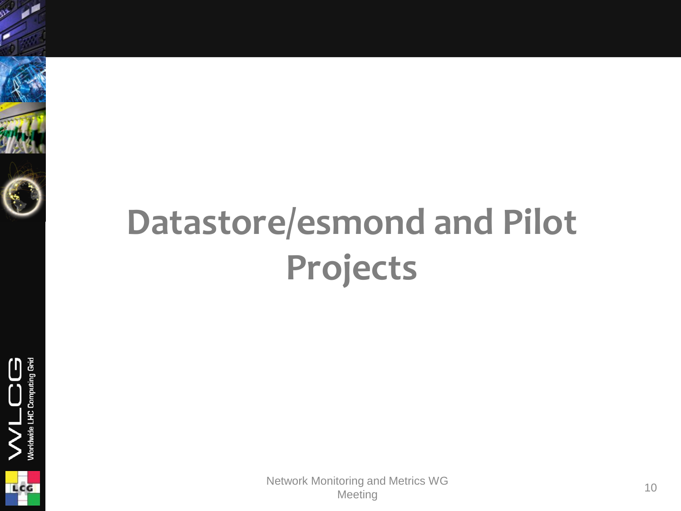







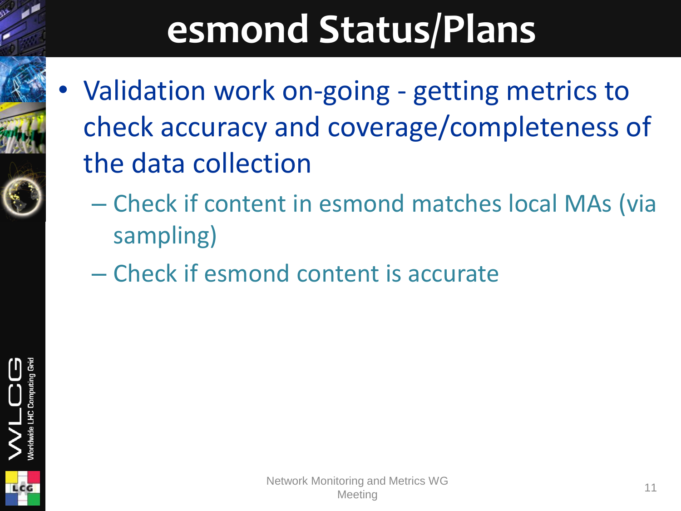### **esmond Status/Plans**

- Validation work on-going getting metrics to check accuracy and coverage/completeness of the data collection
	- Check if content in esmond matches local MAs (via sampling)
	- Check if esmond content is accurate

Network Monitoring and Metrics WG onlig and Menics we are a set of the state of the 11 Meeting 11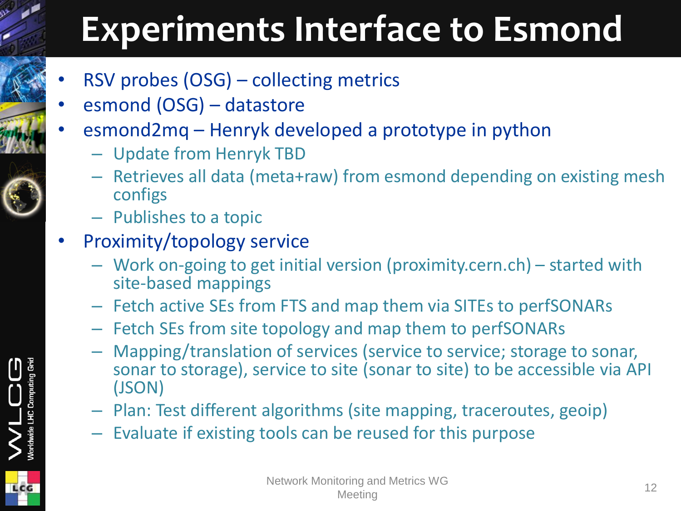### **Experiments Interface to Esmond**

- RSV probes (OSG) collecting metrics
- esmond (OSG) datastore
- esmond2mq Henryk developed a prototype in python
	- Update from Henryk TBD
	- Retrieves all data (meta+raw) from esmond depending on existing mesh configs
	- Publishes to a topic
- Proximity/topology service
	- Work on-going to get initial version (proximity.cern.ch) started with site-based mappings
	- Fetch active SEs from FTS and map them via SITEs to perfSONARs
	- Fetch SEs from site topology and map them to perfSONARs
	- Mapping/translation of services (service to service; storage to sonar, sonar to storage), service to site (sonar to site) to be accessible via API (JSON)
	- Plan: Test different algorithms (site mapping, traceroutes, geoip)
	- Evaluate if existing tools can be reused for this purpose

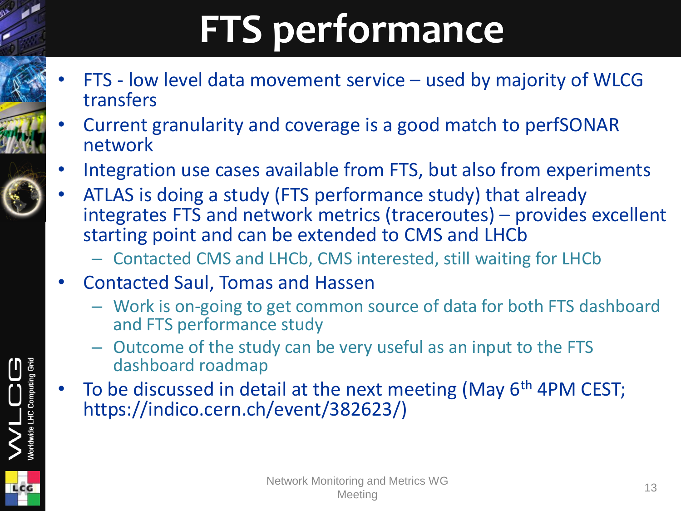# **FTS performance**

- FTS low level data movement service used by majority of WLCG transfers
- Current granularity and coverage is a good match to perfSONAR network
- Integration use cases available from FTS, but also from experiments
- ATLAS is doing a study (FTS performance study) that already integrates FTS and network metrics (traceroutes) – provides excellent starting point and can be extended to CMS and LHCb
	- Contacted CMS and LHCb, CMS interested, still waiting for LHCb
- Contacted Saul, Tomas and Hassen
	- Work is on-going to get common source of data for both FTS dashboard and FTS performance study
	- Outcome of the study can be very useful as an input to the FTS dashboard roadmap
- To be discussed in detail at the next meeting (May 6<sup>th</sup> 4PM CEST; https://indico.cern.ch/event/382623/)



**LHC Comp**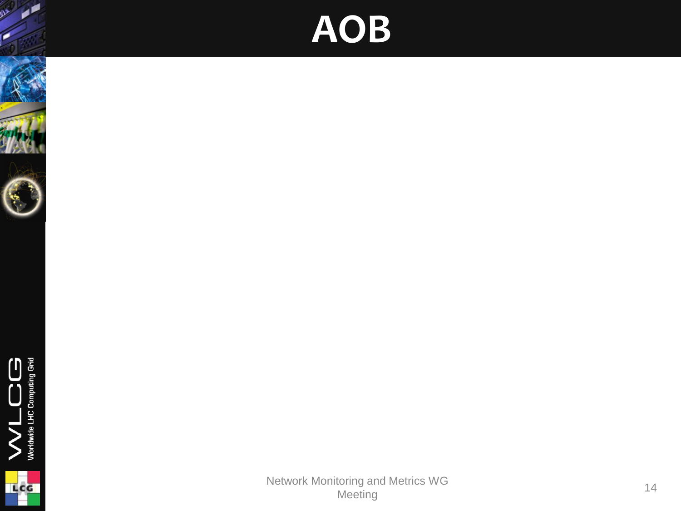### **AOB**